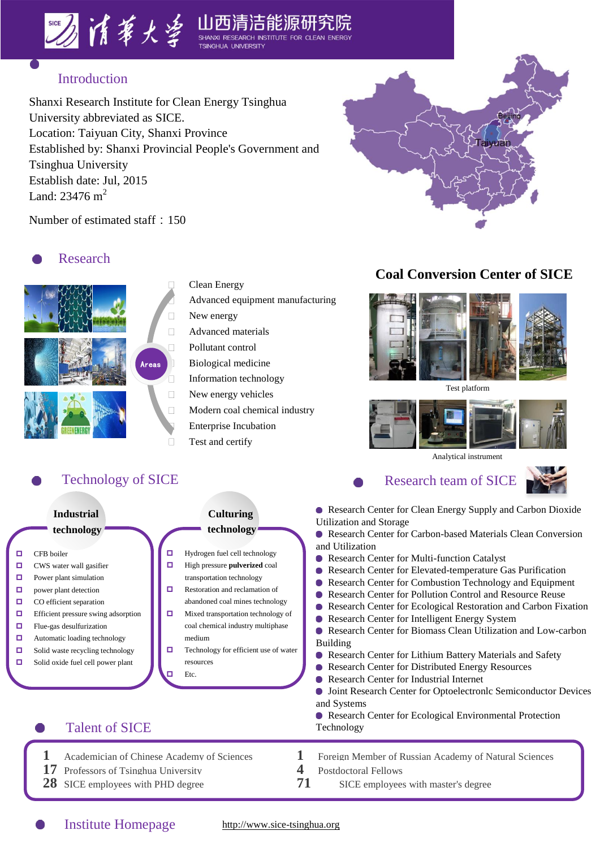



Shanxi Research Institute for Clean Energy Tsinghua University abbreviated as SICE. Location: Taiyuan City, Shanxi Province Established by: Shanxi Provincial People's Government and Tsinghua University Establish date: Jul, 2015 Land:  $23476 \text{ m}^2$ 



Number of estimated staff: 150

## **O** Research



Clean Energy Advanced equipment manufacturing New energy Advanced materials Pollutant control Biological medicine Information technology New energy vehicles Modern coal chemical industry Enterprise Incubation Test and certify

#### **Coal Conversion Center of SICE**



Test platform



Analytical instrument

### Technology of SICE Research team of SICE



- Research Center for Clean Energy Supply and Carbon Dioxide **Industrial Culturing** Utilization and Storage **technology technology** Research Center for Carbon-based Materials Clean Conversion and Utilization **Hydrogen fuel cell technology** □ CFB boiler **• Research Center for Multi-function Catalyst O** CWS water wall gasifier  $\Box$  High pressure **pulverized** coal Research Center for Elevated-temperature Gas Purification transportation technology  $\Box$  Power plant simulation ● Research Center for Combustion Technology and Equipment  $\Box$  Restoration and reclamation of **D** power plant detection Research Center for Pollution Control and Resource Reuse  $\Box$  CO efficient separation abandoned coal mines technology  $\bullet$ Research Center for Ecological Restoration and Carbon Fixation  $\Box$  Efficient pressure swing adsorption  $\Box$  Mixed transportation technology of  $\bullet$ Research Center for Intelligent Energy System coal chemical industry multiphase  $\Box$  Flue-gas desulfurization Research Center for Biomass Clean Utilization and Low-carbon  $\Box$  Automatic loading technology medium Building  $\Box$  Technology for efficient use of water  $\Box$  Solid waste recycling technology Research Center for Lithium Battery Materials and Safety ■ Solid oxide fuel cell power plant resources ● Research Center for Distributed Energy Resources  $E_{\text{fc}}$ Research Center for Industrial Internet  $\bullet$  $\bullet$ Joint Research Center for Optoelectronlc Semiconductor Devices and Systems Research Center for Ecological Environmental Protection Talent of SICE Technology
	-
	- **1** Academician of Chinese Academy of Sciences **1** Foreign Member of Russian Academy of Natural Sciences **17** Professors of Tsinghua University **4** Postdoctoral Fellows 28 SICE employees with PHD degree **71** SICE employees with master's degree